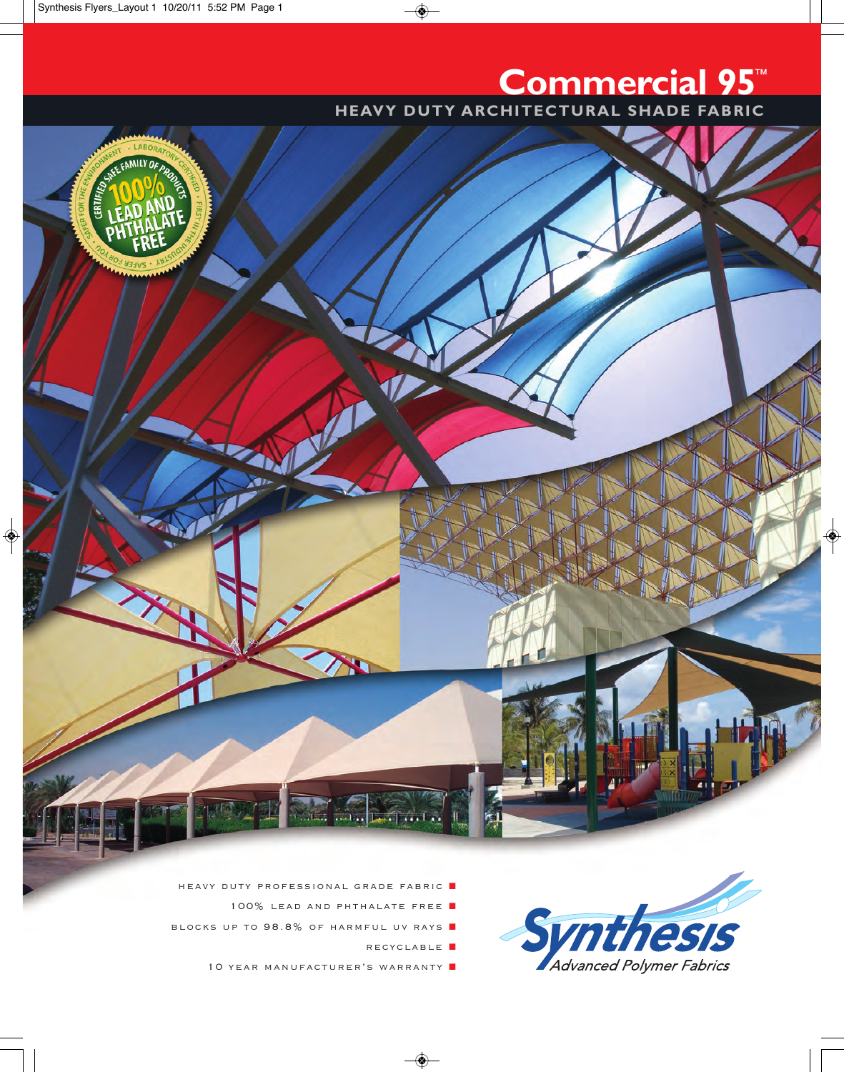## **commercial 95**™

**HEAVY DUTY ARCHITECTURAL SHADE FABRIC** 



- 100% LEAD AND PHTHALATE FREE **1**
- BLOCKS UP TO 98.8% OF HARMFUL UV RAYS
	- RECYCLABLE **N**

SW

es

Advanced Polymer Fabrics

10 YEAR MANUFACTURER'S WARRANTY